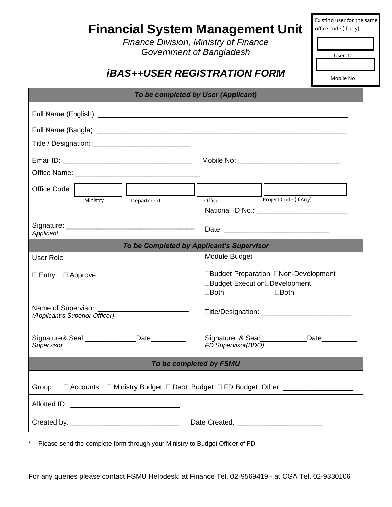| <b>Financial System Management Unit</b>                                                    | Existing user for the same<br>office code (if any)<br><b>Finance Division, Ministry of Finance</b><br>Government of Bangladesh<br>User ID<br><i><b>iBAS++USER REGISTRATION FORM</b></i><br>Mobile No.                                |
|--------------------------------------------------------------------------------------------|--------------------------------------------------------------------------------------------------------------------------------------------------------------------------------------------------------------------------------------|
| To be completed by User (Applicant)                                                        |                                                                                                                                                                                                                                      |
|                                                                                            |                                                                                                                                                                                                                                      |
|                                                                                            |                                                                                                                                                                                                                                      |
|                                                                                            |                                                                                                                                                                                                                                      |
|                                                                                            |                                                                                                                                                                                                                                      |
|                                                                                            |                                                                                                                                                                                                                                      |
| $\frac{1}{\sqrt{\frac{1}{n_{\text{ep}}}}}$<br>Office Code:                                 |                                                                                                                                                                                                                                      |
| Ministry<br>Department                                                                     | Project Code (if Any)<br>Office                                                                                                                                                                                                      |
| Applicant                                                                                  |                                                                                                                                                                                                                                      |
| To be Completed by Applicant's Supervisor                                                  |                                                                                                                                                                                                                                      |
| User Role                                                                                  | <b>Module Budget</b>                                                                                                                                                                                                                 |
| $\Box$ Entry $\Box$ Approve                                                                | □Budget Preparation □Non-Development<br>□Budget Execution□Development<br>$\Box$ Both<br>$\square$ Both                                                                                                                               |
| (Applicant's Superior Officer)                                                             |                                                                                                                                                                                                                                      |
| Signature& Seal:_____________Date_________<br>Supervisor                                   | Signature & Seal_____________Date__________<br>FD Supervisor(BDO)                                                                                                                                                                    |
| To be completed by FSMU                                                                    |                                                                                                                                                                                                                                      |
| □ Accounts □ Ministry Budget □ Dept. Budget □ FD Budget Other: _________________<br>Group: |                                                                                                                                                                                                                                      |
|                                                                                            | <u>and the state of the state of the state of the state of the state of the state of the state of the state of the state of the state of the state of the state of the state of the state of the state of the state of the state</u> |
|                                                                                            |                                                                                                                                                                                                                                      |

\* Please send the complete form through your Ministry to Budget Officer of FD